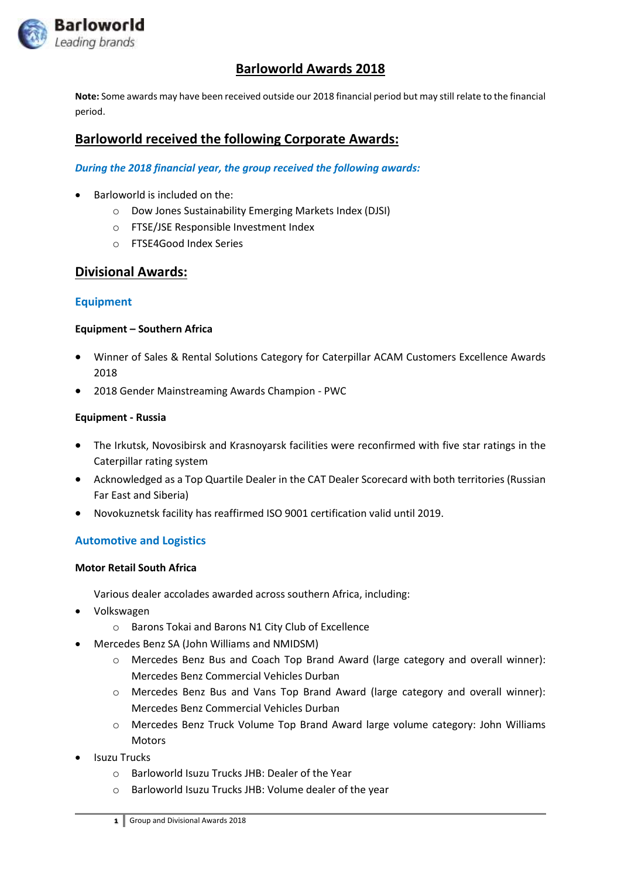

# **Barloworld Awards 2018**

**Note:** Some awards may have been received outside our 2018 financial period but may still relate to the financial period.

# **Barloworld received the following Corporate Awards:**

#### *During the 2018 financial year, the group received the following awards:*

- $\bullet$  Barloworld is included on the:
	- o Dow Jones Sustainability Emerging Markets Index (DJSI)
	- o FTSE/JSE Responsible Investment Index
	- o FTSE4Good Index Series

## **Divisional Awards:**

### **Equipment**

#### **Equipment – Southern Africa**

- Winner of Sales & Rental Solutions Category for Caterpillar ACAM Customers Excellence Awards 2018
- 2018 Gender Mainstreaming Awards Champion PWC

#### **Equipment - Russia**

- The Irkutsk, Novosibirsk and Krasnoyarsk facilities were reconfirmed with five star ratings in the Caterpillar rating system
- Acknowledged as a Top Quartile Dealer in the CAT Dealer Scorecard with both territories (Russian Far East and Siberia)
- Novokuznetsk facility has reaffirmed ISO 9001 certification valid until 2019.

## **Automotive and Logistics**

#### **Motor Retail South Africa**

Various dealer accolades awarded across southern Africa, including:

- Volkswagen
	- o Barons Tokai and Barons N1 City Club of Excellence
- Mercedes Benz SA (John Williams and NMIDSM)
	- o Mercedes Benz Bus and Coach Top Brand Award (large category and overall winner): Mercedes Benz Commercial Vehicles Durban
	- o Mercedes Benz Bus and Vans Top Brand Award (large category and overall winner): Mercedes Benz Commercial Vehicles Durban
	- o Mercedes Benz Truck Volume Top Brand Award large volume category: John Williams **Motors**
- Isuzu Trucks
	- o Barloworld Isuzu Trucks JHB: Dealer of the Year
	- o Barloworld Isuzu Trucks JHB: Volume dealer of the year